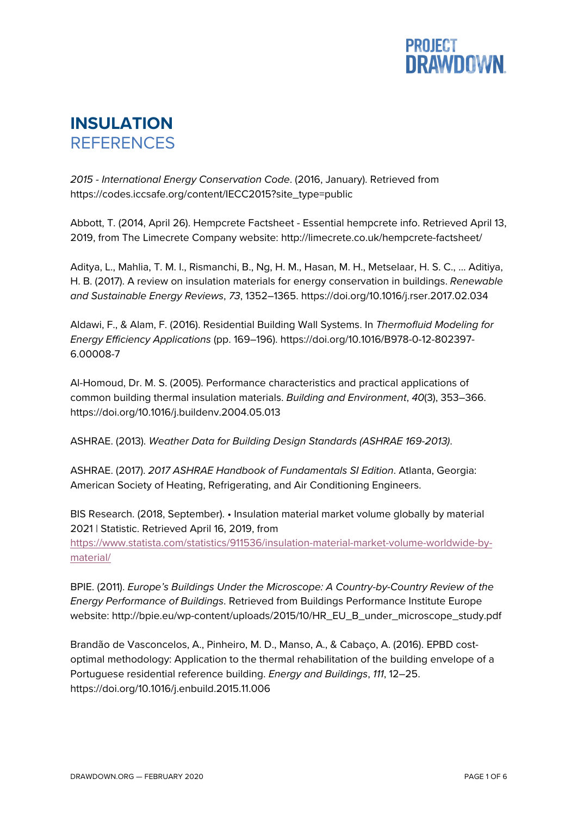

## **INSULATION REFERENCES**

*2015 - International Energy Conservation Code*. (2016, January). Retrieved from https://codes.iccsafe.org/content/IECC2015?site\_type=public

Abbott, T. (2014, April 26). Hempcrete Factsheet - Essential hempcrete info. Retrieved April 13, 2019, from The Limecrete Company website: http://limecrete.co.uk/hempcrete-factsheet/

Aditya, L., Mahlia, T. M. I., Rismanchi, B., Ng, H. M., Hasan, M. H., Metselaar, H. S. C., … Aditiya, H. B. (2017). A review on insulation materials for energy conservation in buildings. *Renewable and Sustainable Energy Reviews*, *73*, 1352–1365. https://doi.org/10.1016/j.rser.2017.02.034

Aldawi, F., & Alam, F. (2016). Residential Building Wall Systems. In *Thermofluid Modeling for Energy Efficiency Applications* (pp. 169–196). https://doi.org/10.1016/B978-0-12-802397- 6.00008-7

Al-Homoud, Dr. M. S. (2005). Performance characteristics and practical applications of common building thermal insulation materials. *Building and Environment*, *40*(3), 353–366. https://doi.org/10.1016/j.buildenv.2004.05.013

ASHRAE. (2013). *Weather Data for Building Design Standards (ASHRAE 169-2013)*.

ASHRAE. (2017). *2017 ASHRAE Handbook of Fundamentals SI Edition*. Atlanta, Georgia: American Society of Heating, Refrigerating, and Air Conditioning Engineers.

BIS Research. (2018, September). • Insulation material market volume globally by material 2021 | Statistic. Retrieved April 16, 2019, from https://www.statista.com/statistics/911536/insulation-material-market-volume-worldwide-bymaterial/

BPIE. (2011). *Europe's Buildings Under the Microscope: A Country-by-Country Review of the Energy Performance of Buildings*. Retrieved from Buildings Performance Institute Europe website: http://bpie.eu/wp-content/uploads/2015/10/HR\_EU\_B\_under\_microscope\_study.pdf

Brandão de Vasconcelos, A., Pinheiro, M. D., Manso, A., & Cabaço, A. (2016). EPBD costoptimal methodology: Application to the thermal rehabilitation of the building envelope of a Portuguese residential reference building. *Energy and Buildings*, *111*, 12–25. https://doi.org/10.1016/j.enbuild.2015.11.006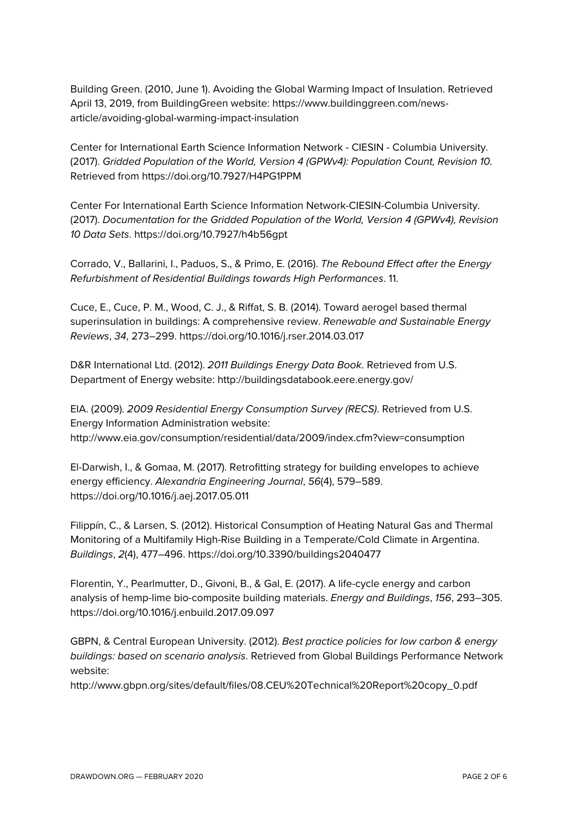Building Green. (2010, June 1). Avoiding the Global Warming Impact of Insulation. Retrieved April 13, 2019, from BuildingGreen website: https://www.buildinggreen.com/newsarticle/avoiding-global-warming-impact-insulation

Center for International Earth Science Information Network - CIESIN - Columbia University. (2017). *Gridded Population of the World, Version 4 (GPWv4): Population Count, Revision 10*. Retrieved from https://doi.org/10.7927/H4PG1PPM

Center For International Earth Science Information Network-CIESIN-Columbia University. (2017). *Documentation for the Gridded Population of the World, Version 4 (GPWv4), Revision 10 Data Sets*. https://doi.org/10.7927/h4b56gpt

Corrado, V., Ballarini, I., Paduos, S., & Primo, E. (2016). *The Rebound Effect after the Energy Refurbishment of Residential Buildings towards High Performances*. 11.

Cuce, E., Cuce, P. M., Wood, C. J., & Riffat, S. B. (2014). Toward aerogel based thermal superinsulation in buildings: A comprehensive review. *Renewable and Sustainable Energy Reviews*, *34*, 273–299. https://doi.org/10.1016/j.rser.2014.03.017

D&R International Ltd. (2012). *2011 Buildings Energy Data Book*. Retrieved from U.S. Department of Energy website: http://buildingsdatabook.eere.energy.gov/

EIA. (2009). *2009 Residential Energy Consumption Survey (RECS)*. Retrieved from U.S. Energy Information Administration website: http://www.eia.gov/consumption/residential/data/2009/index.cfm?view=consumption

El-Darwish, I., & Gomaa, M. (2017). Retrofitting strategy for building envelopes to achieve energy efficiency. *Alexandria Engineering Journal*, *56*(4), 579–589. https://doi.org/10.1016/j.aej.2017.05.011

Filippín, C., & Larsen, S. (2012). Historical Consumption of Heating Natural Gas and Thermal Monitoring of a Multifamily High-Rise Building in a Temperate/Cold Climate in Argentina. *Buildings*, *2*(4), 477–496. https://doi.org/10.3390/buildings2040477

Florentin, Y., Pearlmutter, D., Givoni, B., & Gal, E. (2017). A life-cycle energy and carbon analysis of hemp-lime bio-composite building materials. *Energy and Buildings*, *156*, 293–305. https://doi.org/10.1016/j.enbuild.2017.09.097

GBPN, & Central European University. (2012). *Best practice policies for low carbon & energy buildings: based on scenario analysis*. Retrieved from Global Buildings Performance Network website:

http://www.gbpn.org/sites/default/files/08.CEU%20Technical%20Report%20copy\_0.pdf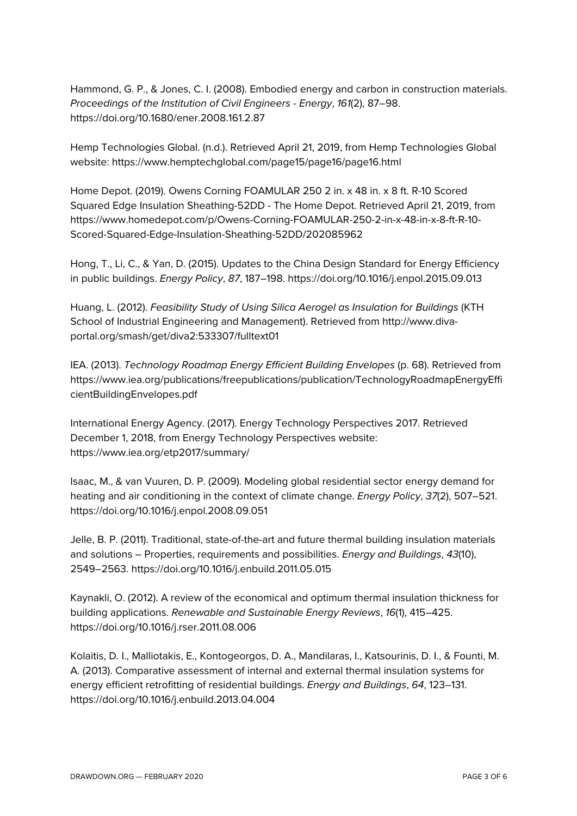Hammond, G. P., & Jones, C. I. (2008). Embodied energy and carbon in construction materials. *Proceedings of the Institution of Civil Engineers - Energy*, *161*(2), 87–98. https://doi.org/10.1680/ener.2008.161.2.87

Hemp Technologies Global. (n.d.). Retrieved April 21, 2019, from Hemp Technologies Global website: https://www.hemptechglobal.com/page15/page16/page16.html

Home Depot. (2019). Owens Corning FOAMULAR 250 2 in. x 48 in. x 8 ft. R-10 Scored Squared Edge Insulation Sheathing-52DD - The Home Depot. Retrieved April 21, 2019, from https://www.homedepot.com/p/Owens-Corning-FOAMULAR-250-2-in-x-48-in-x-8-ft-R-10- Scored-Squared-Edge-Insulation-Sheathing-52DD/202085962

Hong, T., Li, C., & Yan, D. (2015). Updates to the China Design Standard for Energy Efficiency in public buildings. *Energy Policy*, *87*, 187–198. https://doi.org/10.1016/j.enpol.2015.09.013

Huang, L. (2012). *Feasibility Study of Using Silica Aerogel as Insulation for Buildings* (KTH School of Industrial Engineering and Management). Retrieved from http://www.divaportal.org/smash/get/diva2:533307/fulltext01

IEA. (2013). *Technology Roadmap Energy Efficient Building Envelopes* (p. 68). Retrieved from https://www.iea.org/publications/freepublications/publication/TechnologyRoadmapEnergyEffi cientBuildingEnvelopes.pdf

International Energy Agency. (2017). Energy Technology Perspectives 2017. Retrieved December 1, 2018, from Energy Technology Perspectives website: https://www.iea.org/etp2017/summary/

Isaac, M., & van Vuuren, D. P. (2009). Modeling global residential sector energy demand for heating and air conditioning in the context of climate change. *Energy Policy*, *37*(2), 507–521. https://doi.org/10.1016/j.enpol.2008.09.051

Jelle, B. P. (2011). Traditional, state-of-the-art and future thermal building insulation materials and solutions – Properties, requirements and possibilities. *Energy and Buildings*, *43*(10), 2549–2563. https://doi.org/10.1016/j.enbuild.2011.05.015

Kaynakli, O. (2012). A review of the economical and optimum thermal insulation thickness for building applications. *Renewable and Sustainable Energy Reviews*, *16*(1), 415–425. https://doi.org/10.1016/j.rser.2011.08.006

Kolaitis, D. I., Malliotakis, E., Kontogeorgos, D. A., Mandilaras, I., Katsourinis, D. I., & Founti, M. A. (2013). Comparative assessment of internal and external thermal insulation systems for energy efficient retrofitting of residential buildings. *Energy and Buildings*, *64*, 123–131. https://doi.org/10.1016/j.enbuild.2013.04.004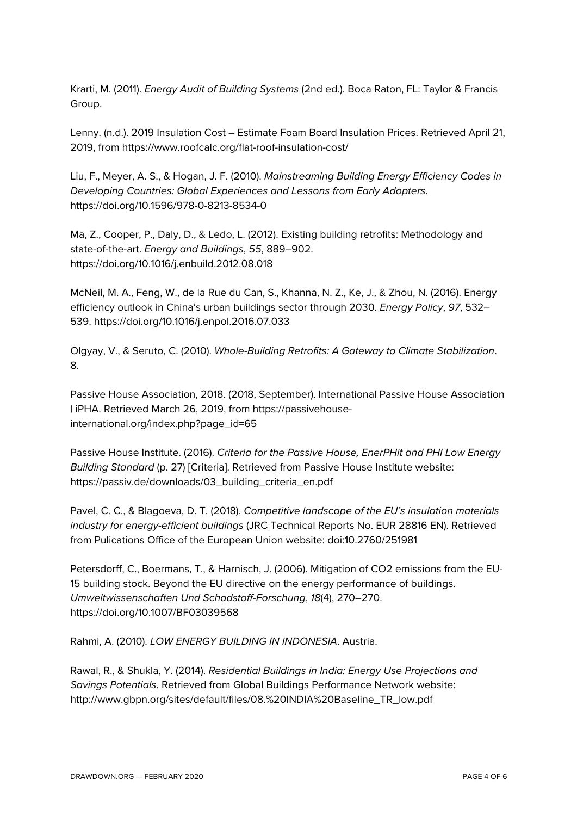Krarti, M. (2011). *Energy Audit of Building Systems* (2nd ed.). Boca Raton, FL: Taylor & Francis Group.

Lenny. (n.d.). 2019 Insulation Cost – Estimate Foam Board Insulation Prices. Retrieved April 21, 2019, from https://www.roofcalc.org/flat-roof-insulation-cost/

Liu, F., Meyer, A. S., & Hogan, J. F. (2010). *Mainstreaming Building Energy Efficiency Codes in Developing Countries: Global Experiences and Lessons from Early Adopters*. https://doi.org/10.1596/978-0-8213-8534-0

Ma, Z., Cooper, P., Daly, D., & Ledo, L. (2012). Existing building retrofits: Methodology and state-of-the-art. *Energy and Buildings*, *55*, 889–902. https://doi.org/10.1016/j.enbuild.2012.08.018

McNeil, M. A., Feng, W., de la Rue du Can, S., Khanna, N. Z., Ke, J., & Zhou, N. (2016). Energy efficiency outlook in China's urban buildings sector through 2030. *Energy Policy*, *97*, 532– 539. https://doi.org/10.1016/j.enpol.2016.07.033

Olgyay, V., & Seruto, C. (2010). *Whole-Building Retrofits: A Gateway to Climate Stabilization*. 8.

Passive House Association, 2018. (2018, September). International Passive House Association | iPHA. Retrieved March 26, 2019, from https://passivehouseinternational.org/index.php?page\_id=65

Passive House Institute. (2016). *Criteria for the Passive House, EnerPHit and PHI Low Energy Building Standard* (p. 27) [Criteria]. Retrieved from Passive House Institute website: https://passiv.de/downloads/03\_building\_criteria\_en.pdf

Pavel, C. C., & Blagoeva, D. T. (2018). *Competitive landscape of the EU's insulation materials industry for energy-efficient buildings* (JRC Technical Reports No. EUR 28816 EN). Retrieved from Pulications Office of the European Union website: doi:10.2760/251981

Petersdorff, C., Boermans, T., & Harnisch, J. (2006). Mitigation of CO2 emissions from the EU-15 building stock. Beyond the EU directive on the energy performance of buildings. *Umweltwissenschaften Und Schadstoff-Forschung*, *18*(4), 270–270. https://doi.org/10.1007/BF03039568

Rahmi, A. (2010). *LOW ENERGY BUILDING IN INDONESIA*. Austria.

Rawal, R., & Shukla, Y. (2014). *Residential Buildings in India: Energy Use Projections and Savings Potentials*. Retrieved from Global Buildings Performance Network website: http://www.gbpn.org/sites/default/files/08.%20INDIA%20Baseline\_TR\_low.pdf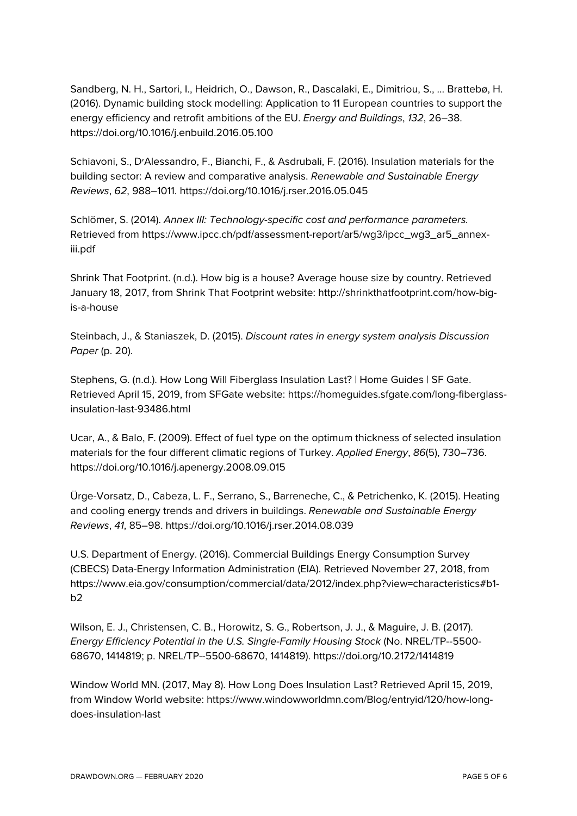Sandberg, N. H., Sartori, I., Heidrich, O., Dawson, R., Dascalaki, E., Dimitriou, S., … Brattebø, H. (2016). Dynamic building stock modelling: Application to 11 European countries to support the energy efficiency and retrofit ambitions of the EU. *Energy and Buildings*, *132*, 26–38. https://doi.org/10.1016/j.enbuild.2016.05.100

Schiavoni, S., D׳Alessandro, F., Bianchi, F., & Asdrubali, F. (2016). Insulation materials for the building sector: A review and comparative analysis. *Renewable and Sustainable Energy Reviews*, *62*, 988–1011. https://doi.org/10.1016/j.rser.2016.05.045

Schlömer, S. (2014). *Annex III: Technology-specific cost and performance parameters.* Retrieved from https://www.ipcc.ch/pdf/assessment-report/ar5/wg3/ipcc\_wg3\_ar5\_annexiii.pdf

Shrink That Footprint. (n.d.). How big is a house? Average house size by country. Retrieved January 18, 2017, from Shrink That Footprint website: http://shrinkthatfootprint.com/how-bigis-a-house

Steinbach, J., & Staniaszek, D. (2015). *Discount rates in energy system analysis Discussion Paper* (p. 20).

Stephens, G. (n.d.). How Long Will Fiberglass Insulation Last? | Home Guides | SF Gate. Retrieved April 15, 2019, from SFGate website: https://homeguides.sfgate.com/long-fiberglassinsulation-last-93486.html

Ucar, A., & Balo, F. (2009). Effect of fuel type on the optimum thickness of selected insulation materials for the four different climatic regions of Turkey. *Applied Energy*, *86*(5), 730–736. https://doi.org/10.1016/j.apenergy.2008.09.015

Ürge-Vorsatz, D., Cabeza, L. F., Serrano, S., Barreneche, C., & Petrichenko, K. (2015). Heating and cooling energy trends and drivers in buildings. *Renewable and Sustainable Energy Reviews*, *41*, 85–98. https://doi.org/10.1016/j.rser.2014.08.039

U.S. Department of Energy. (2016). Commercial Buildings Energy Consumption Survey (CBECS) Data-Energy Information Administration (EIA). Retrieved November 27, 2018, from https://www.eia.gov/consumption/commercial/data/2012/index.php?view=characteristics#b1  $b2$ 

Wilson, E. J., Christensen, C. B., Horowitz, S. G., Robertson, J. J., & Maguire, J. B. (2017). *Energy Efficiency Potential in the U.S. Single-Family Housing Stock* (No. NREL/TP--5500- 68670, 1414819; p. NREL/TP--5500-68670, 1414819). https://doi.org/10.2172/1414819

Window World MN. (2017, May 8). How Long Does Insulation Last? Retrieved April 15, 2019, from Window World website: https://www.windowworldmn.com/Blog/entryid/120/how-longdoes-insulation-last